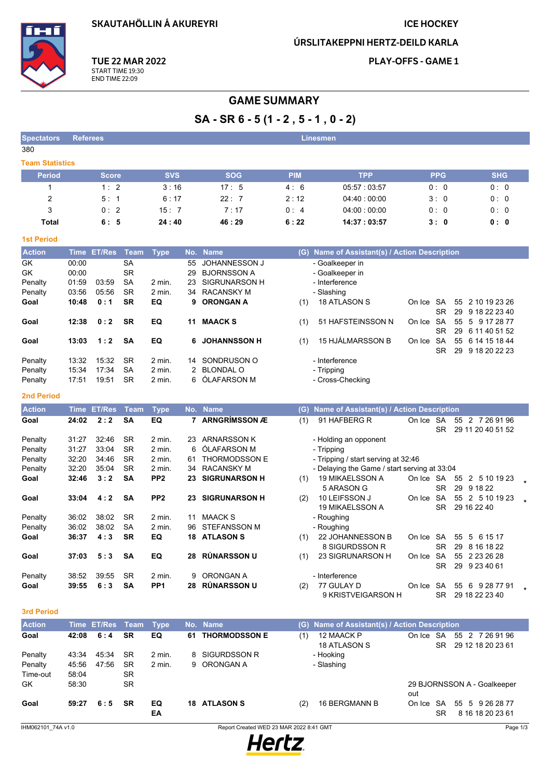**SKAUTAHÖLLIN Á AKUREYRI** 

## **ICE HOCKEY**

ÚRSLITAKEPPNI HERTZ-DEILD KARLA



**TUE 22 MAR 2022** START TIME 19:30<br>END TIME 22:09

**PLAY-OFFS - GAME 1** 

# **GAME SUMMARY**

# $SA - SR 6 - 5 (1 - 2, 5 - 1, 0 - 2)$

| <b>Spectators</b>      | <b>Referees</b> |            |            | <b>Linesmen</b> |             |            |            |
|------------------------|-----------------|------------|------------|-----------------|-------------|------------|------------|
| 380                    |                 |            |            |                 |             |            |            |
| <b>Team Statistics</b> |                 |            |            |                 |             |            |            |
| <b>Period</b>          | Score <b>B</b>  | <b>SVS</b> | <b>SOG</b> | <b>PIM</b>      | <b>TPP</b>  | <b>PPG</b> | <b>SHG</b> |
|                        | 1:2             | 3:16       | 17:5       | 4:6             | 05:57:03:57 | 0:0        | 0:0        |
| 2                      | 5:1             | 6:17       | 22:7       | 2:12            | 04.40:00:00 | 3:0        | 0:0        |
| 3                      | 0:2             | 15:7       | 7:17       | 0:4             | 04:00:00:00 | 0:0        | 0:0        |
| Total                  | 6:5             | 24:40      | 46:29      | 6:22            | 14:37:03:57 | 3:0        | 0:0        |

## **1st Period**

| <b>Action</b> | <b>Time</b> | <b>ET/Res</b> | Team      | Type   |    | No. Name             | (G) | Name of Assistant(s) / Action Description |        |           |    |                  |  |
|---------------|-------------|---------------|-----------|--------|----|----------------------|-----|-------------------------------------------|--------|-----------|----|------------------|--|
| <b>GK</b>     | 00:00       |               | SA        |        | 55 | <b>JOHANNESSON J</b> |     | - Goalkeeper in                           |        |           |    |                  |  |
| <b>GK</b>     | 00:00       |               | <b>SR</b> |        | 29 | <b>BJORNSSON A</b>   |     | - Goalkeeper in                           |        |           |    |                  |  |
| Penalty       | 01:59       | 03.59         | <b>SA</b> | 2 min. | 23 | SIGRUNARSON H        |     | - Interference                            |        |           |    |                  |  |
| Penalty       | 03:56       | 05.56         | <b>SR</b> | 2 min. | 34 | RACANSKY M           |     | - Slashing                                |        |           |    |                  |  |
| Goal          | 10:48       | 0:1           | <b>SR</b> | EQ     |    | 9 ORONGAN A          | (1) | <b>18 ATLASON S</b>                       | On Ice | -SA       |    | 55 2 10 19 23 26 |  |
|               |             |               |           |        |    |                      |     |                                           |        | SR.       | 29 | 9 18 22 23 40    |  |
| Goal          | 12:38       | 0:2           | <b>SR</b> | EQ     | 11 | <b>MAACK S</b>       | (1) | 51 HAFSTEINSSON N                         | On Ice | SA        |    | 55 5 9 17 28 77  |  |
|               |             |               |           |        |    |                      |     |                                           |        | <b>SR</b> | 29 | 6 11 40 51 52    |  |
| Goal          | 13:03       | 1:2           | <b>SA</b> | EQ     | 6. | <b>JOHANNSSON H</b>  | (1) | 15 HJÁLMARSSON B                          | On Ice | SA        |    | 55 6 14 15 18 44 |  |
|               |             |               |           |        |    |                      |     |                                           |        | SR        | 29 | 9 18 20 22 23    |  |
| Penalty       | 13:32       | 15:32         | <b>SR</b> | 2 min. | 14 | SONDRUSON O          |     | - Interference                            |        |           |    |                  |  |
| Penalty       | 15:34       | 17:34         | <b>SA</b> | 2 min. |    | 2 BLONDAL O          |     | - Tripping                                |        |           |    |                  |  |
| Penalty       | 17:51       | 19:51         | <b>SR</b> | 2 min. |    | 6 ÓLAFARSON M        |     | - Cross-Checking                          |        |           |    |                  |  |
|               |             |               |           |        |    |                      |     |                                           |        |           |    |                  |  |

## 2nd Period

| <b>Action</b> | Time  | <b>ET/Res</b> | Team      | <b>Type</b>       |     | No. Name             | Name of Assistant(s) / Action Description<br>(G) |                                              |        |                        |                                         |  |  |  |
|---------------|-------|---------------|-----------|-------------------|-----|----------------------|--------------------------------------------------|----------------------------------------------|--------|------------------------|-----------------------------------------|--|--|--|
| Goal          | 24:02 | 2:2           | <b>SA</b> | EQ                |     | <b>ARNGRÍMSSON Æ</b> | (1)                                              | 91 HAFBERG R                                 | On Ice | <b>SA</b><br><b>SR</b> | 2 7 26 91 96<br>55<br>29 11 20 40 51 52 |  |  |  |
| Penalty       | 31:27 | 32:46         | <b>SR</b> | $2 \text{ min}$ . | 23. | <b>ARNARSSON K</b>   |                                                  | - Holding an opponent                        |        |                        |                                         |  |  |  |
| Penalty       | 31:27 | 33:04         | <b>SR</b> | 2 min.            | 6   | ÓLAFARSON M          |                                                  | - Tripping                                   |        |                        |                                         |  |  |  |
| Penalty       | 32:20 | 34:46         | <b>SR</b> | $2$ min.          | 61  | <b>THORMODSSON E</b> |                                                  | - Tripping / start serving at 32:46          |        |                        |                                         |  |  |  |
| Penalty       | 32:20 | 35:04         | <b>SR</b> | 2 min.            | 34  | <b>RACANSKY M</b>    |                                                  | - Delaying the Game / start serving at 33:04 |        |                        |                                         |  |  |  |
| Goal          | 32:46 | 3:2           | <b>SA</b> | PP <sub>2</sub>   | 23. | <b>SIGRUNARSON H</b> | (1)                                              | <b>19 MIKAELSSON A</b>                       | On Ice | <b>SA</b>              | 55<br>2 5 10 19 23                      |  |  |  |
|               |       |               |           |                   |     |                      |                                                  | 5 ARASON G                                   |        | <b>SR</b>              | 29<br>9 18 22                           |  |  |  |
| Goal          | 33:04 | 4:2           | <b>SA</b> | PP <sub>2</sub>   | 23. | <b>SIGRUNARSON H</b> | (2)                                              | 10 LEIFSSON J                                | On Ice | <b>SA</b>              | 2 5 10 19 23<br>55                      |  |  |  |
|               |       |               |           |                   |     |                      |                                                  | <b>19 MIKAELSSON A</b>                       |        | SR.                    | 29 16 22 40                             |  |  |  |
| Penalty       | 36:02 | 38:02         | <b>SR</b> | $2$ min.          | 11  | <b>MAACK S</b>       |                                                  | - Roughing                                   |        |                        |                                         |  |  |  |
| Penalty       | 36:02 | 38:02         | <b>SA</b> | 2 min.            | 96  | <b>STEFANSSON M</b>  |                                                  | - Roughing                                   |        |                        |                                         |  |  |  |
| Goal          | 36:37 | 4:3           | <b>SR</b> | EQ                | 18  | <b>ATLASON S</b>     | (1)                                              | 22 JOHANNESSON B                             | On Ice | SA                     | 55<br>5<br>6 15 17                      |  |  |  |
|               |       |               |           |                   |     |                      |                                                  | 8 SIGURDSSON R                               |        | <b>SR</b>              | 8 16 18 22<br>29                        |  |  |  |
| Goal          | 37:03 | 5:3           | <b>SA</b> | EQ                | 28  | <b>RÚNARSSON U</b>   | (1)                                              | 23 SIGRUNARSON H                             | On Ice | <b>SA</b>              | 2 23 26 28<br>55                        |  |  |  |
|               |       |               |           |                   |     |                      |                                                  |                                              |        | SR                     | 29<br>9 23 40 61                        |  |  |  |
| Penalty       | 38:52 | 39.55         | <b>SR</b> | $2$ min.          | 9   | ORONGAN A            |                                                  | - Interference                               |        |                        |                                         |  |  |  |
| Goal          | 39:55 | 6:3           | SΑ        | PP <sub>1</sub>   | 28  | <b>RÚNARSSON U</b>   | (2)                                              | 77 GULAY D                                   | On Ice | <b>SA</b>              | 6<br>9 28 77 91<br>55                   |  |  |  |
|               |       |               |           |                   |     |                      |                                                  | 9 KRISTVEIGARSON H                           |        | SR                     | 29 18 22 23 40                          |  |  |  |

#### 3rd Period

| <b>Action</b> |       | Time ET/Res Team |           | Type     |    | No. Name             | (G) Name of Assistant(s) / Action Description |                                                          |
|---------------|-------|------------------|-----------|----------|----|----------------------|-----------------------------------------------|----------------------------------------------------------|
| Goal          | 42:08 | 6:4              | <b>SR</b> | EQ       | 61 | <b>THORMODSSON E</b> | 12 MAACK P<br>(1)<br><b>18 ATLASON S</b>      | 55 2 7 26 91 96<br>On Ice SA<br>29 12 18 20 23 61<br>SR. |
| Penalty       | 43:34 | 45:34            | SR.       | 2 min.   |    | 8 SIGURDSSON R       | - Hooking                                     |                                                          |
| Penalty       | 45:56 | 47:56            | SR.       | 2 min.   |    | 9 ORONGAN A          | - Slashing                                    |                                                          |
| Time-out      | 58:04 |                  | <b>SR</b> |          |    |                      |                                               |                                                          |
| GK            | 58:30 |                  | <b>SR</b> |          |    |                      |                                               | 29 BJORNSSON A - Goalkeeper<br>out                       |
| Goal          | 59:27 | 6:5              | <b>SR</b> | EQ<br>EA | 18 | <b>ATLASON S</b>     | 16 BERGMANN B<br>(2)                          | 55 5 9 26 28 77<br>On Ice SA<br>8 16 18 20 23 61<br>SR   |

Report Created WED 23 MAR 2022 8:41 GMT

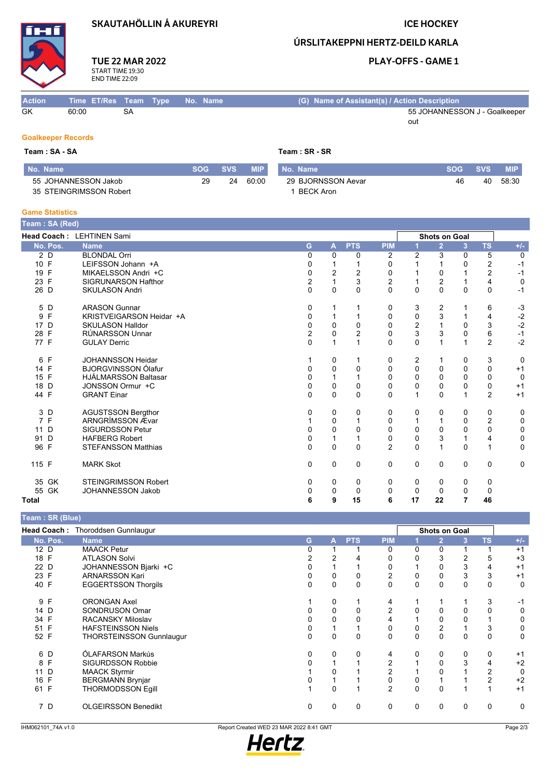# **SKAUTAHÖLLIN Á AKUREYRI**

**TUE 22 MAR 2022** 

START TIME 19:30<br>END TIME 22:09

# **ICE HOCKEY**

ÚRSLITAKEPPNI HERTZ-DEILD KARLA

## **PLAY-OFFS - GAME 1**

#### Time ET/Res Team Type No. Name (G) Name of Assistant(s) / Action Description **Action**  $GK$ 60:00  $\overline{\text{SA}}$ 55 JOHANNESSON J - Goalkeeper out

## **Goalkeeper Records**

| Team : SA - SA          |            |            | Team : SR - SR |                    |            |            |            |  |  |
|-------------------------|------------|------------|----------------|--------------------|------------|------------|------------|--|--|
| l No. Name              | <b>SOG</b> | <b>SVS</b> | <b>MIP</b>     | l No. Name         | <b>SOG</b> | <b>SVS</b> | <b>MIP</b> |  |  |
| 55 JOHANNESSON Jakob    | 29         | 24         | 60:00          | 29 BJORNSSON Aevar | 46         | 40         | 58:30      |  |  |
| 35 STEINGRIMSSON Robert |            |            |                | BECK Aron          |            |            |            |  |  |

#### **Game Statistics**

| Team: SA (Red) |                             |                |              |                |                |                |                      |              |                |             |
|----------------|-----------------------------|----------------|--------------|----------------|----------------|----------------|----------------------|--------------|----------------|-------------|
|                | Head Coach: LEHTINEN Sami   |                |              |                |                |                | <b>Shots on Goal</b> |              |                |             |
| No. Pos.       | <b>Name</b>                 | G              | $\mathbf{A}$ | <b>PTS</b>     | <b>PIM</b>     |                | $\overline{2}$       | 3            | <b>TS</b>      | $+/-$       |
| 2 D            | <b>BLONDAL Orri</b>         | $\mathbf{0}$   | 0            | 0              | $\overline{2}$ | $\overline{2}$ | 3                    | 0            | 5              | 0           |
| 10 F           | LEIFSSON Johann +A          | 0              |              |                | 0              |                |                      | $\Omega$     | 2              | $-1$        |
| 19 F           | MIKAELSSON Andri +C         | 0              | 2            | $\overline{2}$ | 0              |                | 0                    |              | $\overline{2}$ | $-1$        |
| 23 F           | <b>SIGRUNARSON Hafthor</b>  | 2              |              | 3              | $\overline{c}$ |                | $\mathbf 2$          |              | 4              | $\mathbf 0$ |
| 26 D           | <b>SKULASON Andri</b>       | $\Omega$       | 0            | $\Omega$       | $\Omega$       | $\Omega$       | $\mathbf{0}$         | $\mathbf{0}$ | $\Omega$       | $-1$        |
| 5 D            | <b>ARASON Gunnar</b>        | 0              |              |                | 0              | 3              | 2                    |              | 6              | $-3$        |
| 9 F            | KRISTVEIGARSON Heidar +A    | 0              | 1            | 1              | 0              | 0              | 3                    |              | 4              | $-2$        |
| 17 D           | <b>SKULASON Halldor</b>     | 0              | $\mathbf 0$  | $\mathbf 0$    | 0              | $\overline{2}$ | $\mathbf{1}$         | 0            | 3              | $-2$        |
| 28 F           | <b>RÚNARSSON Unnar</b>      | $\overline{2}$ | 0            | $\overline{2}$ | $\mathbf 0$    | 3              | 3                    | 0            | 6              | $-1$        |
| 77 F           | <b>GULAY Derric</b>         | $\Omega$       | 1            | 1              | $\Omega$       | $\Omega$       | $\mathbf{1}$         | 1            | $\overline{2}$ | $-2$        |
| 6 F            | <b>JOHANNSSON Heidar</b>    |                | 0            |                | 0              | 2              | 1                    | 0            | 3              | 0           |
| 14 F           | <b>BJORGVINSSON Ólafur</b>  | 0              | $\mathbf 0$  | $\mathbf 0$    | 0              | 0              | 0                    | 0            | $\Omega$       | $+1$        |
| 15 F           | <b>HJÁLMARSSON Baltasar</b> | $\Omega$       | 1            | 1              | $\mathbf 0$    | $\mathbf 0$    | 0                    | 0            | $\Omega$       | 0           |
| 18 D           | JONSSON Ormur +C            | 0              | 0            | 0              | 0              | 0              | 0                    | 0            | 0              | $+1$        |
| 44 F           | <b>GRANT Einar</b>          | 0              | $\mathbf 0$  | $\Omega$       | $\Omega$       | 1              | $\mathbf 0$          | 1            | $\overline{2}$ | $+1$        |
| 3 D            | <b>AGUSTSSON Bergthor</b>   | 0              | 0            | 0              | 0              | 0              | 0                    | 0            | 0              | 0           |
| 7 F            | ARNGRÍMSSON Ævar            |                | 0            | 1              | 0              | 1              | $\mathbf{1}$         | $\Omega$     | $\overline{2}$ | 0           |
| 11 D           | <b>SIGURDSSON Petur</b>     | 0              | $\mathbf 0$  | $\Omega$       | $\mathbf 0$    | $\mathbf 0$    | $\mathbf 0$          | 0            | $\mathbf 0$    | 0           |
| 91 D           | <b>HAFBERG Robert</b>       | 0              | 1            | 1              | 0              | $\mathbf 0$    | 3                    | $\mathbf{1}$ | 4              | 0           |
| 96 F           | <b>STEFANSSON Matthias</b>  | $\Omega$       | $\mathbf 0$  | $\Omega$       | $\overline{2}$ | $\mathbf{0}$   | $\mathbf{1}$         | $\Omega$     | $\mathbf{1}$   | $\mathbf 0$ |
| 115 F          | <b>MARK Skot</b>            | $\mathbf 0$    | $\mathbf 0$  | 0              | $\mathbf 0$    | $\mathbf 0$    | 0                    | $\mathbf 0$  | 0              | 0           |
| 35 GK          | <b>STEINGRIMSSON Robert</b> | 0              | 0            | 0              | 0              | 0              | 0                    | 0            | 0              |             |
| 55 GK          | <b>JOHANNESSON Jakob</b>    | 0              | $\mathbf 0$  | $\Omega$       | 0              | 0              | $\mathbf 0$          | 0            | $\mathbf 0$    |             |
| Total          |                             | 6              | 9            | 15             | 6              | 17             | 22                   | 7            | 46             |             |

| Team: SR (Blue)    |                                 |             |             |            |                |          |                      |   |           |       |
|--------------------|---------------------------------|-------------|-------------|------------|----------------|----------|----------------------|---|-----------|-------|
| <b>Head Coach:</b> | Thoroddsen Gunnlaugur           |             |             |            |                |          | <b>Shots on Goal</b> |   |           |       |
| No. Pos.           | <b>Name</b>                     | G           | A           | <b>PTS</b> | <b>PIM</b>     |          | $\overline{2}$       | 3 | <b>TS</b> | $+/-$ |
| 12 <sub>D</sub>    | <b>MAACK Petur</b>              | 0           |             |            | 0              | $\Omega$ | $\Omega$             |   |           | $+1$  |
| 18 F               | <b>ATLASON Solvi</b>            |             |             |            | 0              | 0        | 3                    |   | 5         | $+3$  |
| 22 D               | JOHANNESSON Bjarki +C           |             |             |            | 0              |          | 0                    | 3 | 4         | $+1$  |
| 23 F               | <b>ARNARSSON Kari</b>           | 0           | 0           | 0          | 2              | 0        | 0                    | 3 | 3         | $+1$  |
| 40 F               | <b>EGGERTSSON Thorgils</b>      | $\mathbf 0$ | $\mathbf 0$ | $\Omega$   | $\mathbf 0$    | 0        | 0                    | 0 | 0         | 0     |
| 9 F                | <b>ORONGAN Axel</b>             |             | 0           |            | 4              |          |                      |   | 3         | -1    |
| 14 D               | SONDRUSON Omar                  | 0           | 0           | 0          | 2              | 0        | 0                    | 0 |           | 0     |
| 34 F               | <b>RACANSKY Miloslav</b>        |             | 0           | 0          | 4              |          | 0                    |   |           | 0     |
| F<br>51            | <b>HAFSTEINSSON Niels</b>       |             |             |            | 0              | 0        | 2                    |   | 3         | 0     |
| 52 F               | <b>THORSTEINSSON Gunnlaugur</b> | 0           | 0           | $\Omega$   | $\mathbf 0$    | 0        | 0                    | 0 | 0         | 0     |
| 6 D                | ÓLAFARSON Markús                | 0           | 0           | 0          | 4              | 0        | 0                    | 0 | 0         | $+1$  |
| 8 F                | <b>SIGURDSSON Robbie</b>        | 0           |             |            | 2              |          | 0                    | 3 | 4         | $+2$  |
| D<br>11            | <b>MAACK Styrmir</b>            |             | 0           |            | 2              |          | 0                    |   | 2         | 0     |
| 16 F               | <b>BERGMANN Brynjar</b>         |             |             |            | 0              | 0        |                      |   | 2         | $+2$  |
| F<br>61            | <b>THORMODSSON Eqill</b>        |             | $\mathbf 0$ |            | $\overline{2}$ | 0        | 0                    |   |           | $+1$  |
| 7 D                | <b>OLGEIRSSON Benedikt</b>      | 0           | 0           | 0          | 0              | 0        | 0                    | 0 | 0         | 0     |